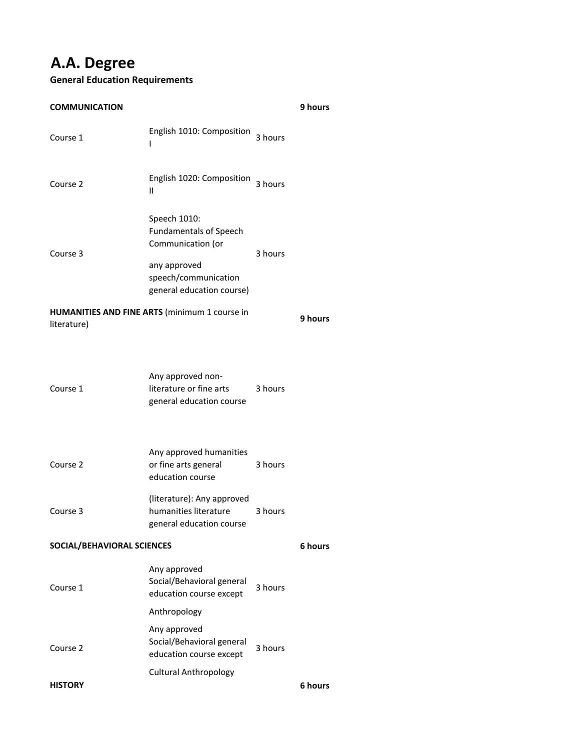# **A.A. Degree**

#### **General Education Requirements**

**9 hours** Course 1 English 1010: Composition 3 hours I Course 2 English 1020: Composition II 3 hours Speech 1010: Fundamentals of Speech Communication (or any approved speech/communication general education course) **9 hours** Course 1 Any approved nonliterature or fine arts general education course 3 hours Course 2 Any approved humanities or fine arts general education course 3 hours Course 3 (literature): Any approved humanities literature general education course 3 hours **6 hours** Any approved Social/Behavioral general education course except Course 1 3 hours Anthropology Any approved Social/Behavioral general education course except Course 2 3 hours Cultural Anthropology **6 hours COMMUNICATION** Course 3 3 hours **HUMANITIES AND FINE ARTS** (minimum 1 course in literature) **SOCIAL/BEHAVIORAL SCIENCES HISTORY**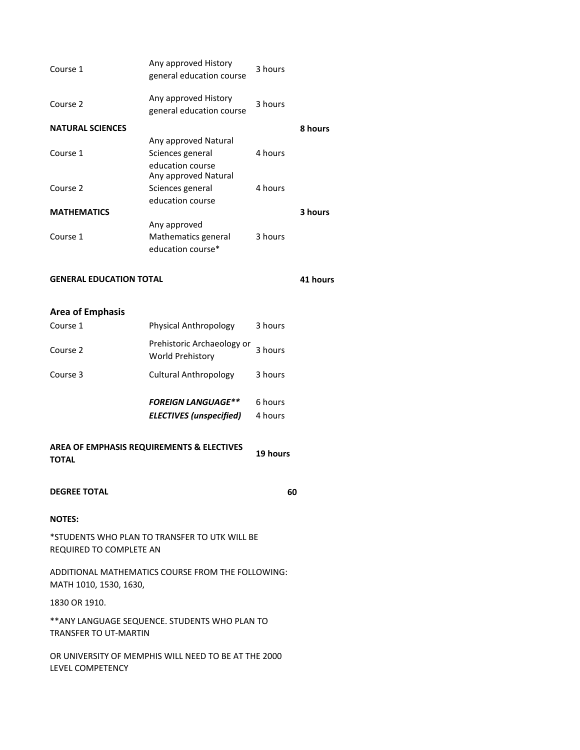| <b>GENERAL EDUCATION TOTAL</b> |                                                              |         |         |
|--------------------------------|--------------------------------------------------------------|---------|---------|
| Course 1                       | Mathematics general<br>education course*                     | 3 hours |         |
| <b>MATHEMATICS</b>             | Any approved                                                 |         | 3 hours |
|                                | education course                                             |         |         |
| Course 2                       | education course<br>Any approved Natural<br>Sciences general | 4 hours |         |
| Course 1                       | Any approved Natural<br>Sciences general                     | 4 hours |         |
| <b>NATURAL SCIENCES</b>        |                                                              |         | 8 hours |
| Course 2                       | Any approved History<br>general education course             | 3 hours |         |
| Course 1                       | Any approved History<br>general education course             | 3 hours |         |

### **Area of Emphasis**

|          | <b>FOREIGN LANGUAGE**</b><br><b>ELECTIVES</b> (unspecified) | 6 hours<br>4 hours |
|----------|-------------------------------------------------------------|--------------------|
| Course 3 | Cultural Anthropology                                       | 3 hours            |
| Course 2 | Prehistoric Archaeology or<br>World Prehistory              | 3 hours            |
| Course 1 | <b>Physical Anthropology</b>                                | 3 hours            |

**19 hours AREA OF EMPHASIS REQUIREMENTS & ELECTIVES TOTAL**

## **DEGREE TOTAL**

**60**

### **NOTES:**

\*STUDENTS WHO PLAN TO TRANSFER TO UTK WILL BE REQUIRED TO COMPLETE AN

ADDITIONAL MATHEMATICS COURSE FROM THE FOLLOWING: MATH 1010, 1530, 1630,

1830 OR 1910.

\*\*ANY LANGUAGE SEQUENCE. STUDENTS WHO PLAN TO TRANSFER TO UT-MARTIN

OR UNIVERSITY OF MEMPHIS WILL NEED TO BE AT THE 2000 LEVEL COMPETENCY